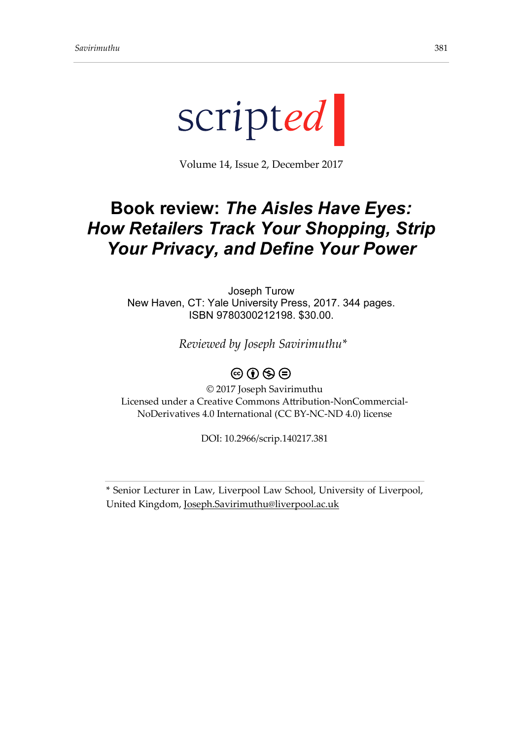

Volume 14, Issue 2, December 2017

## **Book review:** *The Aisles Have Eyes: How Retailers Track Your Shopping, Strip Your Privacy, and Define Your Power*

Joseph Turow New Haven, CT: Yale University Press, 2017. 344 pages. ISBN 9780300212198. \$30.00.

*Reviewed by Joseph Savirimuthu\**

## $\circledcirc$   $\circledcirc$   $\circledcirc$

© 2017 Joseph Savirimuthu Licensed under a Creative Commons Attribution-NonCommercial-NoDerivatives 4.0 International (CC BY-NC-ND 4.0) license

DOI: 10.2966/scrip.140217.381

\* Senior Lecturer in Law, Liverpool Law School, University of Liverpool, United Kingdom, [Joseph.Savirimuthu@liverpool.ac.uk](mailto:Joseph.Savirimuthu@liverpool.ac.uk)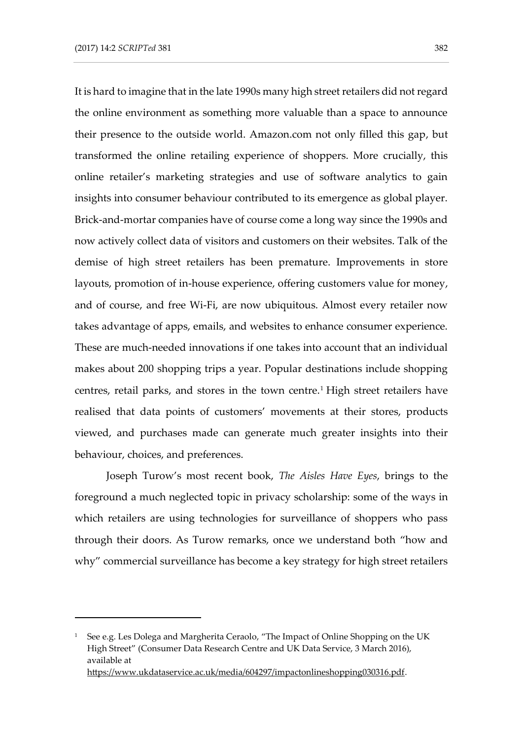-

It is hard to imagine that in the late 1990s many high street retailers did not regard the online environment as something more valuable than a space to announce their presence to the outside world. Amazon.com not only filled this gap, but transformed the online retailing experience of shoppers. More crucially, this online retailer's marketing strategies and use of software analytics to gain insights into consumer behaviour contributed to its emergence as global player. Brick-and-mortar companies have of course come a long way since the 1990s and now actively collect data of visitors and customers on their websites. Talk of the demise of high street retailers has been premature. Improvements in store layouts, promotion of in-house experience, offering customers value for money, and of course, and free Wi-Fi, are now ubiquitous. Almost every retailer now takes advantage of apps, emails, and websites to enhance consumer experience. These are much-needed innovations if one takes into account that an individual makes about 200 shopping trips a year. Popular destinations include shopping centres, retail parks, and stores in the town centre.<sup>1</sup> High street retailers have realised that data points of customers' movements at their stores, products viewed, and purchases made can generate much greater insights into their behaviour, choices, and preferences.

Joseph Turow's most recent book, *The Aisles Have Eyes*, brings to the foreground a much neglected topic in privacy scholarship: some of the ways in which retailers are using technologies for surveillance of shoppers who pass through their doors. As Turow remarks, once we understand both "how and why" commercial surveillance has become a key strategy for high street retailers

<sup>&</sup>lt;sup>1</sup> See e.g. Les Dolega and Margherita Ceraolo, "The Impact of Online Shopping on the UK High Street" (Consumer Data Research Centre and UK Data Service, 3 March 2016), available at [https://www.ukdataservice.ac.uk/media/604297/impactonlineshopping030316.pdf.](https://www.ukdataservice.ac.uk/media/604297/impactonlineshopping030316.pdf)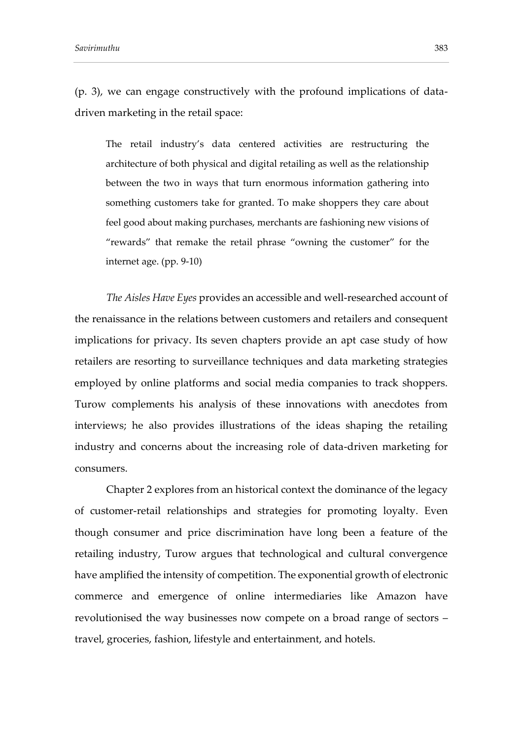(p. 3), we can engage constructively with the profound implications of datadriven marketing in the retail space:

The retail industry's data centered activities are restructuring the architecture of both physical and digital retailing as well as the relationship between the two in ways that turn enormous information gathering into something customers take for granted. To make shoppers they care about feel good about making purchases, merchants are fashioning new visions of "rewards" that remake the retail phrase "owning the customer" for the internet age. (pp. 9-10)

*The Aisles Have Eyes* provides an accessible and well-researched account of the renaissance in the relations between customers and retailers and consequent implications for privacy. Its seven chapters provide an apt case study of how retailers are resorting to surveillance techniques and data marketing strategies employed by online platforms and social media companies to track shoppers. Turow complements his analysis of these innovations with anecdotes from interviews; he also provides illustrations of the ideas shaping the retailing industry and concerns about the increasing role of data-driven marketing for consumers.

Chapter 2 explores from an historical context the dominance of the legacy of customer-retail relationships and strategies for promoting loyalty. Even though consumer and price discrimination have long been a feature of the retailing industry, Turow argues that technological and cultural convergence have amplified the intensity of competition. The exponential growth of electronic commerce and emergence of online intermediaries like Amazon have revolutionised the way businesses now compete on a broad range of sectors – travel, groceries, fashion, lifestyle and entertainment, and hotels.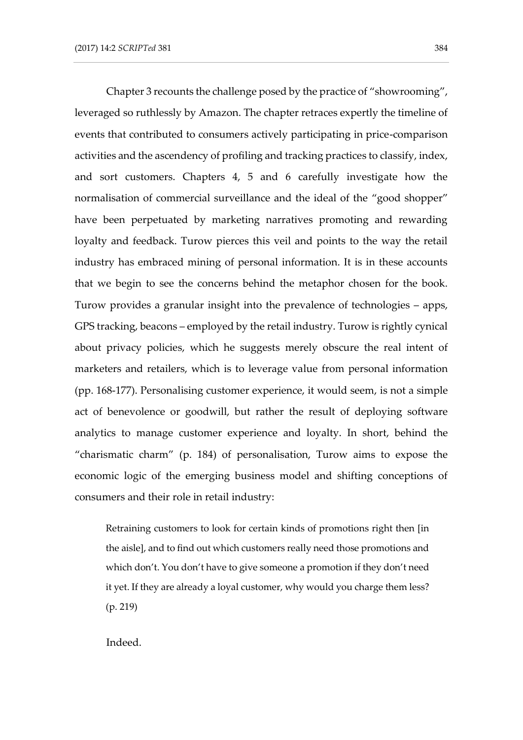Chapter 3 recounts the challenge posed by the practice of "showrooming", leveraged so ruthlessly by Amazon. The chapter retraces expertly the timeline of events that contributed to consumers actively participating in price-comparison activities and the ascendency of profiling and tracking practices to classify, index, and sort customers. Chapters 4, 5 and 6 carefully investigate how the normalisation of commercial surveillance and the ideal of the "good shopper" have been perpetuated by marketing narratives promoting and rewarding loyalty and feedback. Turow pierces this veil and points to the way the retail industry has embraced mining of personal information. It is in these accounts that we begin to see the concerns behind the metaphor chosen for the book. Turow provides a granular insight into the prevalence of technologies – apps, GPS tracking, beacons – employed by the retail industry. Turow is rightly cynical about privacy policies, which he suggests merely obscure the real intent of marketers and retailers, which is to leverage value from personal information (pp. 168-177). Personalising customer experience, it would seem, is not a simple act of benevolence or goodwill, but rather the result of deploying software analytics to manage customer experience and loyalty. In short, behind the "charismatic charm" (p. 184) of personalisation, Turow aims to expose the economic logic of the emerging business model and shifting conceptions of consumers and their role in retail industry:

Retraining customers to look for certain kinds of promotions right then [in the aisle], and to find out which customers really need those promotions and which don't. You don't have to give someone a promotion if they don't need it yet. If they are already a loyal customer, why would you charge them less? (p. 219)

Indeed.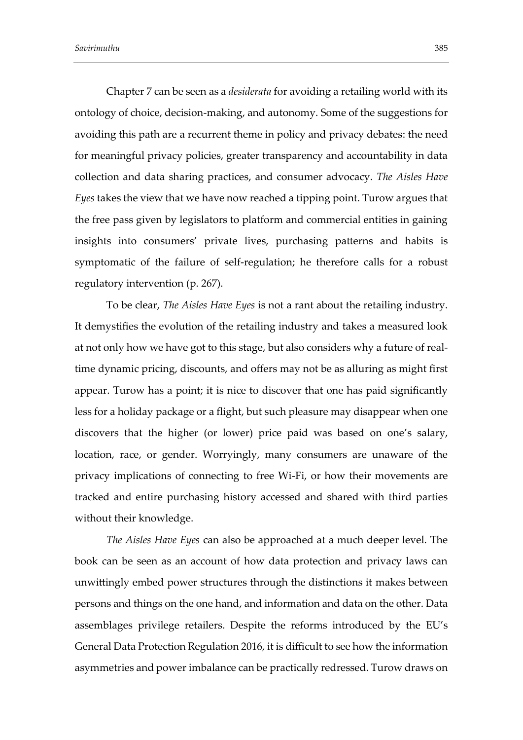Chapter 7 can be seen as a *desiderata* for avoiding a retailing world with its ontology of choice, decision-making, and autonomy. Some of the suggestions for avoiding this path are a recurrent theme in policy and privacy debates: the need for meaningful privacy policies, greater transparency and accountability in data collection and data sharing practices, and consumer advocacy. *The Aisles Have Eyes* takes the view that we have now reached a tipping point. Turow argues that the free pass given by legislators to platform and commercial entities in gaining insights into consumers' private lives, purchasing patterns and habits is symptomatic of the failure of self-regulation; he therefore calls for a robust regulatory intervention (p. 267).

To be clear, *The Aisles Have Eyes* is not a rant about the retailing industry. It demystifies the evolution of the retailing industry and takes a measured look at not only how we have got to this stage, but also considers why a future of realtime dynamic pricing, discounts, and offers may not be as alluring as might first appear. Turow has a point; it is nice to discover that one has paid significantly less for a holiday package or a flight, but such pleasure may disappear when one discovers that the higher (or lower) price paid was based on one's salary, location, race, or gender. Worryingly, many consumers are unaware of the privacy implications of connecting to free Wi-Fi, or how their movements are tracked and entire purchasing history accessed and shared with third parties without their knowledge.

*The Aisles Have Eyes* can also be approached at a much deeper level. The book can be seen as an account of how data protection and privacy laws can unwittingly embed power structures through the distinctions it makes between persons and things on the one hand, and information and data on the other. Data assemblages privilege retailers. Despite the reforms introduced by the EU's General Data Protection Regulation 2016, it is difficult to see how the information asymmetries and power imbalance can be practically redressed. Turow draws on